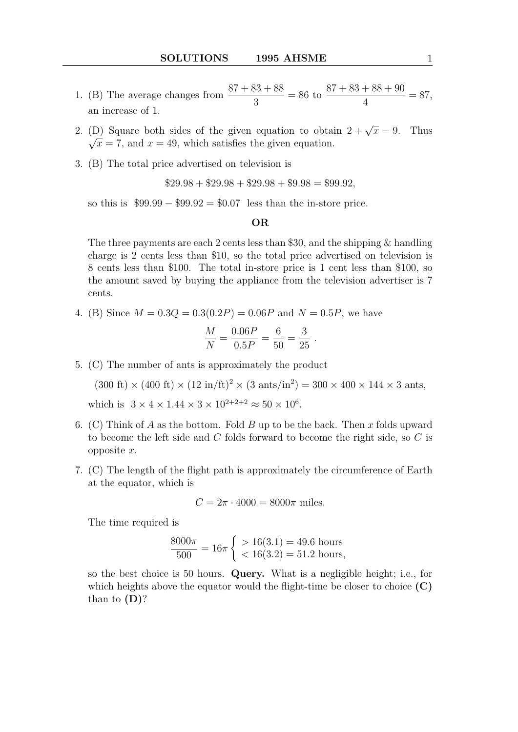- 1. (B) The average changes from  $\frac{87 + 83 + 88}{9}$ 3  $= 86$  to  $87 + 83 + 88 + 90$ 4  $= 87,$ an increase of 1.
- 2. (D) Square both sides of the given equation to obtain  $2 + \sqrt{x} = 9$ . Thus  $\sqrt{x}$  = 7, and  $x$  = 49, which satisfies the given equation.
- 3. (B) The total price advertised on television is

$$
$29.98 + $29.98 + $29.98 + $9.98 = $99.92,
$$

so this is  $$99.99 - $99.92 = $0.07$  less than the in-store price.

## OR

The three payments are each 2 cents less than \$30, and the shipping & handling charge is 2 cents less than \$10, so the total price advertised on television is 8 cents less than \$100. The total in-store price is 1 cent less than \$100, so the amount saved by buying the appliance from the television advertiser is 7 cents.

4. (B) Since  $M = 0.3Q = 0.3(0.2P) = 0.06P$  and  $N = 0.5P$ , we have

$$
\frac{M}{N} = \frac{0.06P}{0.5P} = \frac{6}{50} = \frac{3}{25} .
$$

5. (C) The number of ants is approximately the product

 $(300 \text{ ft}) \times (400 \text{ ft}) \times (12 \text{ in/ft})^2 \times (3 \text{ ants/in}^2) = 300 \times 400 \times 144 \times 3 \text{ ants},$ 

which is  $3 \times 4 \times 1.44 \times 3 \times 10^{2+2+2} \approx 50 \times 10^6$ .

- 6. (C) Think of A as the bottom. Fold B up to be the back. Then x folds upward to become the left side and  $C$  folds forward to become the right side, so  $C$  is opposite x.
- 7. (C) The length of the flight path is approximately the circumference of Earth at the equator, which is

$$
C = 2\pi \cdot 4000 = 8000\pi
$$
 miles.

The time required is

$$
\frac{8000\pi}{500} = 16\pi \left\{ \begin{array}{l} > 16(3.1) = 49.6 \text{ hours} \\ < 16(3.2) = 51.2 \text{ hours}, \end{array} \right.
$$

so the best choice is 50 hours. Query. What is a negligible height; i.e., for which heights above the equator would the flight-time be closer to choice  $(C)$ than to  $(D)$ ?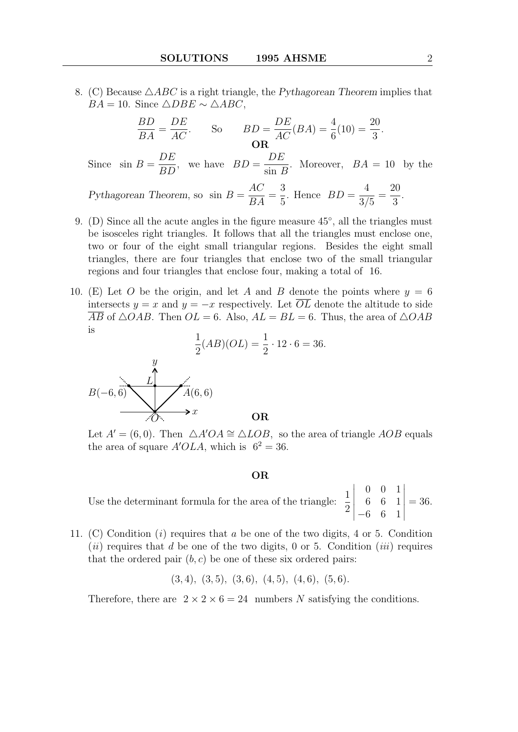8. (C) Because  $\triangle ABC$  is a right triangle, the Pythagorean Theorem implies that  $BA = 10$ . Since  $\triangle DBE \sim \triangle ABC$ ,

$$
\frac{BD}{BA} = \frac{DE}{AC}.
$$
 So  $BD = \frac{DE}{AC}(BA) = \frac{4}{6}(10) = \frac{20}{3}.$   
Since  $\sin B = \frac{DE}{BD}$ , we have  $BD = \frac{DE}{\sin B}$ . Moreover,  $BA = 10$  by the  
Pythagorean Theorem, so  $\sin B = \frac{AC}{BA} = \frac{3}{5}$ . Hence  $BD = \frac{4}{3/5} = \frac{20}{3}$ .

- 9. (D) Since all the acute angles in the figure measure  $45^{\circ}$ , all the triangles must be isosceles right triangles. It follows that all the triangles must enclose one, two or four of the eight small triangular regions. Besides the eight small triangles, there are four triangles that enclose two of the small triangular regions and four triangles that enclose four, making a total of 16.
- 10. (E) Let O be the origin, and let A and B denote the points where  $y = 6$ intersects  $y = x$  and  $y = -x$  respectively. Let  $\overline{OL}$  denote the altitude to side  $\overline{AB}$  of  $\triangle OAB$ . Then  $OL = 6$ . Also,  $AL = BL = 6$ . Thus, the area of  $\triangle OAB$ is

 $= 36.$ 

$$
\frac{1}{2}(AB)(OL) = \frac{1}{2} \cdot 12 \cdot 6
$$
\n
$$
B(-6, 6)
$$
\n
$$
B(-6, 6)
$$
\n
$$
x
$$
\nOR

Let  $A' = (6, 0)$ . Then  $\triangle A'OA \cong \triangle LOB$ , so the area of triangle AOB equals the area of square  $A'OLA$ , which is  $6^2 = 36$ .

- OR
- Use the determinant formula for the area of the triangle:  $\frac{1}{2}$ 2 0 0 1 6 6 1 −6 6 1  $= 36.$
- 11. (C) Condition (i) requires that a be one of the two digits, 4 or 5. Condition (ii) requires that d be one of the two digits, 0 or 5. Condition (iii) requires that the ordered pair  $(b, c)$  be one of these six ordered pairs:

$$
(3,4), (3,5), (3,6), (4,5), (4,6), (5,6).
$$

Therefore, there are  $2 \times 2 \times 6 = 24$  numbers N satisfying the conditions.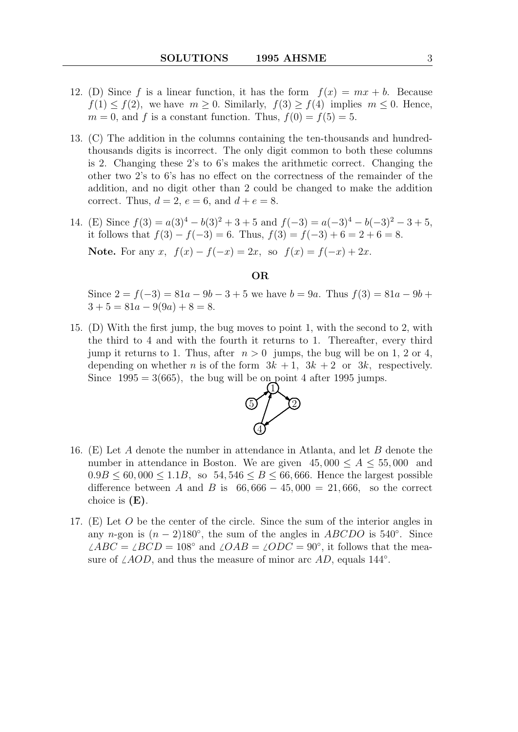- 12. (D) Since f is a linear function, it has the form  $f(x) = mx + b$ . Because  $f(1) \le f(2)$ , we have  $m \ge 0$ . Similarly,  $f(3) \ge f(4)$  implies  $m \le 0$ . Hence,  $m = 0$ , and f is a constant function. Thus,  $f(0) = f(5) = 5$ .
- 13. (C) The addition in the columns containing the ten-thousands and hundredthousands digits is incorrect. The only digit common to both these columns is 2. Changing these 2's to 6's makes the arithmetic correct. Changing the other two 2's to 6's has no effect on the correctness of the remainder of the addition, and no digit other than 2 could be changed to make the addition correct. Thus,  $d = 2$ ,  $e = 6$ , and  $d + e = 8$ .
- 14. (E) Since  $f(3) = a(3)^4 b(3)^2 + 3 + 5$  and  $f(-3) = a(-3)^4 b(-3)^2 3 + 5$ , it follows that  $f(3) - f(-3) = 6$ . Thus,  $f(3) = f(-3) + 6 = 2 + 6 = 8$ . Note. For any x,  $f(x) - f(-x) = 2x$ , so  $f(x) = f(-x) + 2x$ .

## OR

Since  $2 = f(-3) = 81a - 9b - 3 + 5$  we have  $b = 9a$ . Thus  $f(3) = 81a - 9b +$  $3 + 5 = 81a - 9(9a) + 8 = 8.$ 

15. (D) With the first jump, the bug moves to point 1, with the second to 2, with the third to 4 and with the fourth it returns to 1. Thereafter, every third jump it returns to 1. Thus, after  $n > 0$  jumps, the bug will be on 1, 2 or 4. depending on whether *n* is of the form  $3k + 1$ ,  $3k + 2$  or  $3k$ , respectively. Since  $1995 = 3(665)$ , the bug will be on point 4 after 1995 jumps.  $\overline{1}^{\text{p}}$ 



- 16. (E) Let A denote the number in attendance in Atlanta, and let B denote the number in attendance in Boston. We are given  $45,000 \leq A \leq 55,000$  and  $0.9B \le 60,000 \le 1.1B$ , so  $54,546 \le B \le 66,666$ . Hence the largest possible difference between A and B is  $66,666 - 45,000 = 21,666$ , so the correct choice is  $(E)$ .
- 17. (E) Let O be the center of the circle. Since the sum of the interior angles in any n-gon is  $(n-2)180^\circ$ , the sum of the angles in ABCDO is 540°. Since  $\angle ABC = \angle BCD = 108^\circ$  and  $\angle OAB = \angle ODC = 90^\circ$ , it follows that the measure of  $\angle AOD$ , and thus the measure of minor arc  $AD$ , equals 144<sup>°</sup>.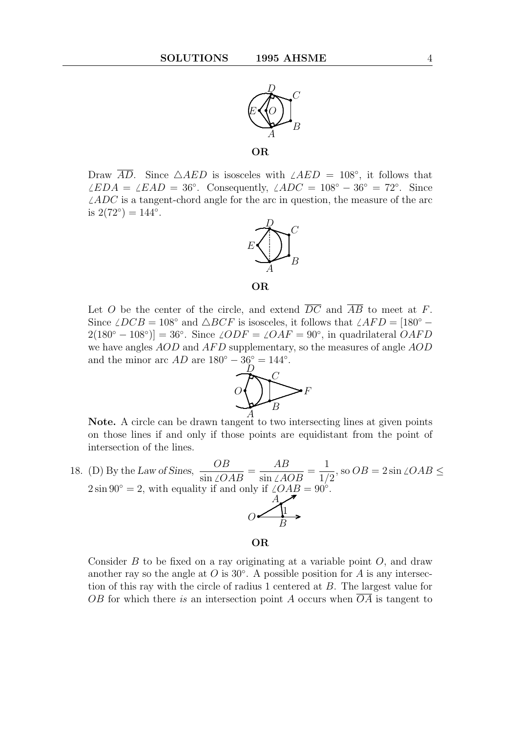

OR

Draw  $\overline{AD}$ . Since  $\triangle AED$  is isosceles with  $\angle AED = 108°$ , it follows that  $\angle EDA = \angle EAD = 36°$ . Consequently,  $\angle ADC = 108° - 36° = 72°$ . Since  $\angle ADC$  is a tangent-chord angle for the arc in question, the measure of the arc is  $2(72^{\circ}) = 144^{\circ}$ .





Let O be the center of the circle, and extend  $\overline{DC}$  and  $\overline{AB}$  to meet at F. Since  $\angle DCB = 108°$  and  $\triangle BCF$  is isosceles, it follows that  $\angle AFD = [180° 2(180° - 108°)$  = 36°. Since  $\angle ODF = \angle OAF = 90°$ , in quadrilateral  $OAFD$ we have angles  $AOD$  and  $AFD$  supplementary, so the measures of angle  $AOD$ and the minor arc  $AD$  are  $180^{\circ} - 36^{\circ} = 144^{\circ}$ .



Note. A circle can be drawn tangent to two intersecting lines at given points on those lines if and only if those points are equidistant from the point of intersection of the lines.

18. (D) By the Law of Sines, OB  $\frac{\partial L}{\partial \sin \angle OAB} =$ AB  $\frac{AB}{\sin\angle AOB}$  = 1 1/2 , so  $OB = 2 \sin \angle OAB \leq$  $2 \sin 90^\circ = 2$ , with equality if and only if  $\angle OAB = 90^\circ$ .  $O \left( \frac{P}{B} \right)$  $A_{\bullet}$ .. .  $\angle$ <sup>1</sup> .

## OR

Consider  $B$  to be fixed on a ray originating at a variable point  $O$ , and draw another ray so the angle at  $O$  is 30 $^{\circ}$ . A possible position for  $A$  is any intersection of this ray with the circle of radius 1 centered at B. The largest value for OB for which there is an intersection point A occurs when  $\overline{OA}$  is tangent to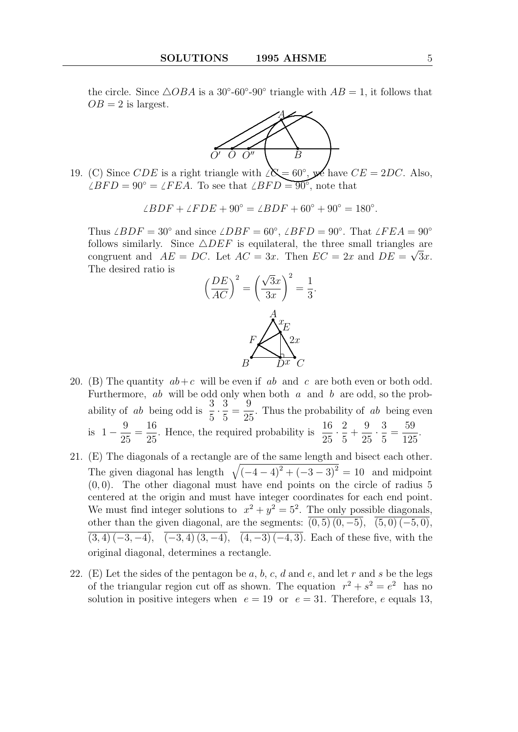the circle. Since  $\triangle OBA$  is a 30°-60°-90° triangle with  $AB = 1$ , it follows that  $OB = 2$  is largest.



19. (C) Since *CDE* is a right triangle with  $\Delta \mathbf{\hat{S}} = 60^{\circ}$ , **ye** have *CE* = 2*DC*. Also,  $\angle BFD = 90^{\circ} = \angle FEA$ . To see that  $\angle BFD = 90^{\circ}$ , note that

$$
\angle BDF + \angle FDE + 90^{\circ} = \angle BDF + 60^{\circ} + 90^{\circ} = 180^{\circ}.
$$

Thus  $\angle BDF = 30^\circ$  and since  $\angle DBF = 60^\circ$ ,  $\angle BFD = 90^\circ$ . That  $\angle FEA = 90^\circ$ follows similarly. Since  $\triangle DEF$  is equilateral, the three small triangles are congruent and  $AE = DC$ . Let  $AC = 3x$ . Then  $EC = 2x$  and  $DE = \sqrt{3x}$ . The desired ratio is



- 20. (B) The quantity  $ab+c$  will be even if ab and c are both even or both odd. Furthermore, ab will be odd only when both  $a$  and  $b$  are odd, so the probability of *ab* being odd is  $\frac{3}{5}$ 5  $\frac{3}{7}$ 5 = 9 25 . Thus the probability of ab being even is  $1 - \frac{9}{21}$ 25 = 16 25 . Hence, the required probability is  $\frac{16}{25}$ 25  $\cdot \frac{2}{5}$ 5  $+$ 9 25  $\frac{3}{7}$ 5 = 59 125 .
- 21. (E) The diagonals of a rectangle are of the same length and bisect each other. The given diagonal has length  $\sqrt{(-4-4)^2 + (-3-3)^2} = 10$  and midpoint  $(0, 0)$ . The other diagonal must have end points on the circle of radius 5 centered at the origin and must have integer coordinates for each end point. We must find integer solutions to  $x^2 + y^2 = 5^2$ . The only possible diagonals, other than the given diagonal, are the segments:  $\overline{(0,5)(0,-5)}$ ,  $\overline{(5,0)(-5,0)}$ ,  $(3, 4)$   $(-3, -4)$ ,  $\overline{(-3, 4)$   $(3, -4)$ ,  $\overline{(4, -3) (-4, 3)}$ . Each of these five, with the original diagonal, determines a rectangle.
- 22. (E) Let the sides of the pentagon be  $a, b, c, d$  and  $e$ , and let r and s be the legs of the triangular region cut off as shown. The equation  $r^2 + s^2 = e^2$  has no solution in positive integers when  $e = 19$  or  $e = 31$ . Therefore, e equals 13,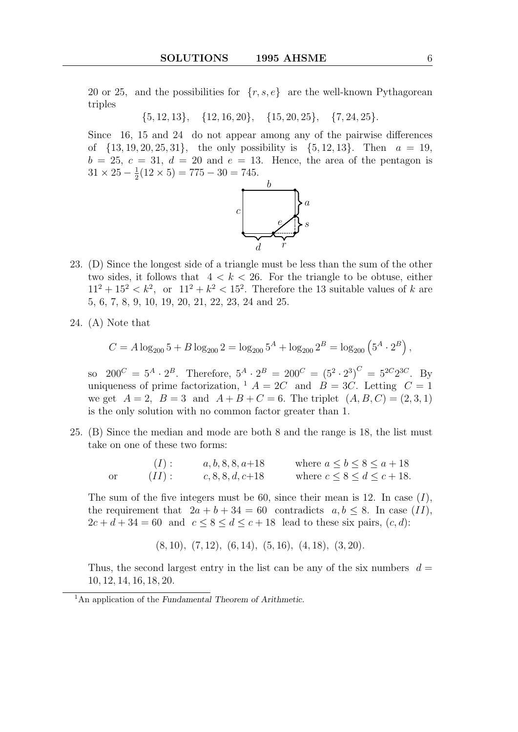20 or 25, and the possibilities for  $\{r, s, e\}$  are the well-known Pythagorean triples

 $\{5, 12, 13\}, \{12, 16, 20\}, \{15, 20, 25\}, \{7, 24, 25\}.$ 

Since 16, 15 and 24 do not appear among any of the pairwise differences of  $\{13, 19, 20, 25, 31\}$ , the only possibility is  $\{5, 12, 13\}$ . Then  $a = 19$ ,  $b = 25, c = 31, d = 20$  and  $e = 13$ . Hence, the area of the pentagon is  $31 \times 25 - \frac{1}{2}$  $\frac{1}{2}(12 \times 5) = 775 - 30 = 745.$ 



- 23. (D) Since the longest side of a triangle must be less than the sum of the other two sides, it follows that  $4 < k < 26$ . For the triangle to be obtuse, either  $11^2 + 15^2 < k^2$ , or  $11^2 + k^2 < 15^2$ . Therefore the 13 suitable values of k are 5, 6, 7, 8, 9, 10, 19, 20, 21, 22, 23, 24 and 25.
- 24. (A) Note that

$$
C = A \log_{200} 5 + B \log_{200} 2 = \log_{200} 5^A + \log_{200} 2^B = \log_{200} \left( 5^A \cdot 2^B \right),
$$

so  $200^C = 5^A \cdot 2^B$ . Therefore,  $5^A \cdot 2^B = 200^C = (5^2 \cdot 2^3)^C = 5^{2C}2^{3C}$ . By uniqueness of prime factorization,  $A = 2C$  and  $B = 3C$ . Letting  $C = 1$ we get  $A = 2$ ,  $B = 3$  and  $A + B + C = 6$ . The triplet  $(A, B, C) = (2, 3, 1)$ is the only solution with no common factor greater than 1.

25. (B) Since the median and mode are both 8 and the range is 18, the list must take on one of these two forms:

> (I):  $a, b, 8, 8, a+18$  where  $a \le b \le 8 \le a+18$ <br>II):  $c, 8, 8, d, c+18$  where  $c \le 8 \le d \le c+18$ or  $(II)$ : c, 8, 8, d, c+18 where  $c \le 8 \le d \le c+18$ .

The sum of the five integers must be 60, since their mean is 12. In case  $(I)$ , the requirement that  $2a + b + 34 = 60$  contradicts  $a, b \le 8$ . In case (II),  $2c + d + 34 = 60$  and  $c \leq 8 \leq d \leq c + 18$  lead to these six pairs,  $(c, d)$ :

 $(8, 10), (7, 12), (6, 14), (5, 16), (4, 18), (3, 20).$ 

Thus, the second largest entry in the list can be any of the six numbers  $d =$ 10, 12, 14, 16, 18, 20.

<sup>&</sup>lt;sup>1</sup>An application of the Fundamental Theorem of Arithmetic.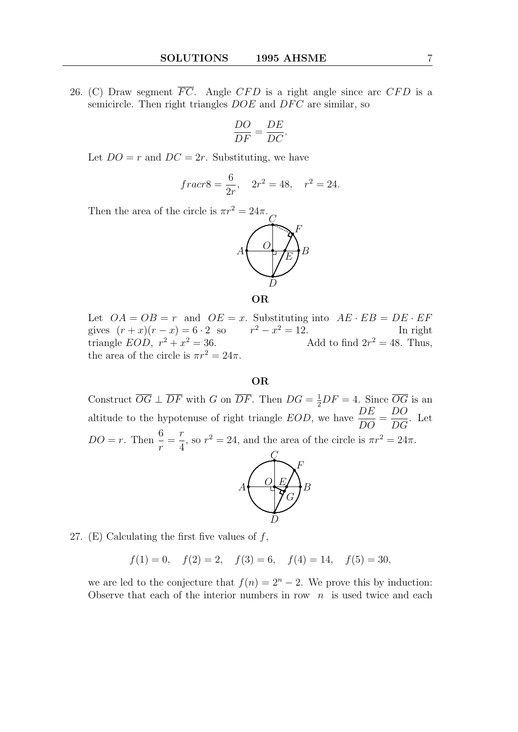26. (C) Draw segment  $\overline{FC}$ . Angle CFD is a right angle since arc CFD is a semicircle. Then right triangles  $DOE$  and  $DFC$  are similar, so

$$
\frac{DO}{DF} = \frac{DE}{DC}.
$$

Let  $DO = r$  and  $DC = 2r$ . Substituting, we have

$$
frac{r}{2r}, \quad 2r^2 = 48, \quad r^2 = 24.
$$

Then the area of the circle is  $\pi r^2 = 24\pi$ .



OR

Let  $OA = OB = r$  and  $OE = x$ . Substituting into  $AE \cdot EB = DE \cdot EF$ gives  $(r+x)(r-x) = 6 \cdot 2$  so  $r^2 - x^2 = 12$ . In right triangle  $EOD, r^2 + x$  $x^2 = 36.$  Add to find  $2r^2 = 48.$  Thus, the area of the circle is  $\pi r^2 = 24\pi$ .

## OR

Construct  $\overline{OG} \perp \overline{DF}$  with G on  $\overline{DF}$ . Then  $DG = \frac{1}{2}DF = 4$ . Since  $\overline{OG}$  is an altitude to the hypotenuse of right triangle  $EOD$ , we have  $\overline{DE}$  $\frac{DE}{DO} =$ DO  $\frac{D}{DG}$ . Let  $DO = r$ . Then  $\frac{6}{r}$ r = r 4 , so  $r^2 = 24$ , and the area of the circle is  $\pi r^2 = 24\pi$ . •  $\mathcal{Q}$ 



27. (E) Calculating the first five values of  $f$ ,

 $f(1) = 0, \quad f(2) = 2, \quad f(3) = 6, \quad f(4) = 14, \quad f(5) = 30,$ 

we are led to the conjecture that  $f(n) = 2<sup>n</sup> - 2$ . We prove this by induction: Observe that each of the interior numbers in row  $n$  is used twice and each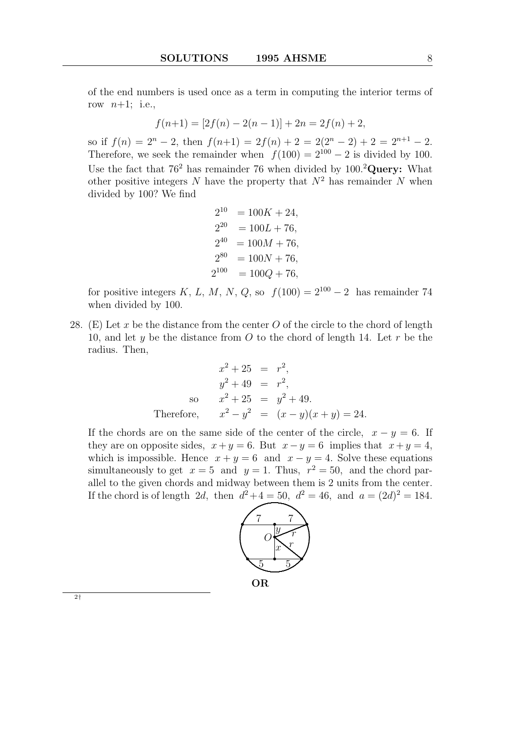of the end numbers is used once as a term in computing the interior terms of row  $n+1$ ; i.e.,

$$
f(n+1) = [2f(n) - 2(n-1)] + 2n = 2f(n) + 2,
$$

so if  $f(n) = 2<sup>n</sup> - 2$ , then  $f(n+1) = 2f(n) + 2 = 2(2<sup>n</sup> - 2) + 2 = 2<sup>n+1</sup> - 2$ . Therefore, we seek the remainder when  $f(100) = 2^{100} - 2$  is divided by 100. Use the fact that  $76^2$  has remainder 76 when divided by  $100.^2$ Query: What other positive integers N have the property that  $N^2$  has remainder N when divided by 100? We find

$$
2^{10} = 100K + 24,
$$
  
\n
$$
2^{20} = 100L + 76,
$$
  
\n
$$
2^{40} = 100M + 76,
$$
  
\n
$$
2^{80} = 100N + 76,
$$
  
\n
$$
2^{100} = 100Q + 76,
$$

for positive integers K, L, M, N, Q, so  $f(100) = 2^{100} - 2$  has remainder 74 when divided by 100.

28. (E) Let x be the distance from the center  $O$  of the circle to the chord of length 10, and let y be the distance from  $O$  to the chord of length 14. Let r be the radius. Then,

$$
x^{2} + 25 = r^{2},
$$
  
\n
$$
y^{2} + 49 = r^{2},
$$
  
\nso  $x^{2} + 25 = y^{2} + 49.$   
\nTherefore,  $x^{2} - y^{2} = (x - y)(x + y) = 24.$ 

If the chords are on the same side of the center of the circle,  $x - y = 6$ . If they are on opposite sides,  $x + y = 6$ . But  $x - y = 6$  implies that  $x + y = 4$ , which is impossible. Hence  $x + y = 6$  and  $x - y = 4$ . Solve these equations simultaneously to get  $x = 5$  and  $y = 1$ . Thus,  $r^2 = 50$ , and the chord parallel to the given chords and midway between them is 2 units from the center. If the chord is of length 2d, then  $d^2 + 4 = 50$ ,  $d^2 = 46$ , and  $a = (2d)^2 = 184$ .



OR

2†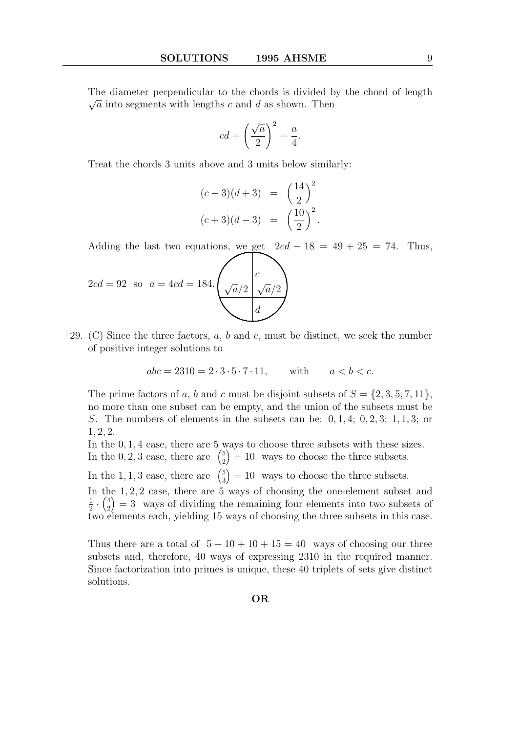The diameter perpendicular to the chords is divided by the chord of length  $\sqrt{ }$  $\sqrt{a}$  into segments with lengths c and d as shown. Then

$$
cd = \left(\frac{\sqrt{a}}{2}\right)^2 = \frac{a}{4}.
$$

Treat the chords 3 units above and 3 units below similarly:

$$
(c-3)(d+3) = \left(\frac{14}{2}\right)^2
$$
  

$$
(c+3)(d-3) = \left(\frac{10}{2}\right)^2.
$$

Adding the last two equations, we get  $2cd - 18 = 49 + 25 = 74$ . Thus,

$$
2cd = 92 \text{ so } a = 4cd = 184. \left(\sqrt{\frac{a}{2}}\sqrt{\frac{c}{d}}\sqrt{\frac{a}{2}}\right)
$$

29. (C) Since the three factors,  $a, b$  and  $c$ , must be distinct, we seek the number of positive integer solutions to

$$
abc = 2310 = 2 \cdot 3 \cdot 5 \cdot 7 \cdot 11
$$
, with  $a < b < c$ .

The prime factors of a, b and c must be disjoint subsets of  $S = \{2, 3, 5, 7, 11\}$ , no more than one subset can be empty, and the union of the subsets must be S. The numbers of elements in the subsets can be:  $0, 1, 4$ ;  $0, 2, 3$ ;  $1, 1, 3$ ; or 1, 2, 2.

In the 0, 1, 4 case, there are 5 ways to choose three subsets with these sizes. In the 0, 2, 3 case, there are  $\binom{5}{2}$ 2  $= 10$  ways to choose the three subsets.

In the 1, 1, 3 case, there are  $\binom{5}{3}$ 3  $= 10$  ways to choose the three subsets.

In the 1, 2, 2 case, there are 5 ways of choosing the one-element subset and 1  $\frac{1}{2} \cdot \left(\frac{4}{2}\right)$ 2  $= 3$  ways of dividing the remaining four elements into two subsets of two elements each, yielding 15 ways of choosing the three subsets in this case.

Thus there are a total of  $5 + 10 + 10 + 15 = 40$  ways of choosing our three subsets and, therefore, 40 ways of expressing 2310 in the required manner. Since factorization into primes is unique, these 40 triplets of sets give distinct solutions.